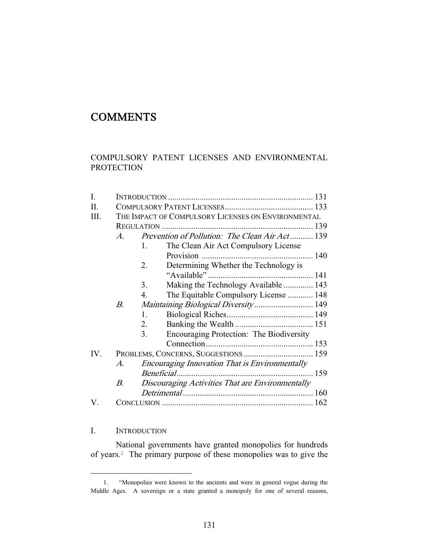# **COMMENTS**

## COMPULSORY PATENT LICENSES AND ENVIRONMENTAL **PROTECTION**

| I.   |                                                             |                                                  |                                                |  |
|------|-------------------------------------------------------------|--------------------------------------------------|------------------------------------------------|--|
| II.  |                                                             |                                                  |                                                |  |
| III. | THE IMPACT OF COMPULSORY LICENSES ON ENVIRONMENTAL          |                                                  |                                                |  |
|      |                                                             |                                                  |                                                |  |
|      | $\mathcal{A}$                                               |                                                  | Prevention of Pollution: The Clean Air Act 139 |  |
|      |                                                             | 1.                                               | The Clean Air Act Compulsory License           |  |
|      |                                                             |                                                  |                                                |  |
|      |                                                             | 2.                                               | Determining Whether the Technology is          |  |
|      |                                                             |                                                  |                                                |  |
|      |                                                             | 3.                                               | Making the Technology Available  143           |  |
|      |                                                             | 4.                                               | The Equitable Compulsory License  148          |  |
|      | В.                                                          |                                                  | Maintaining Biological Diversity 149           |  |
|      |                                                             | 1.                                               |                                                |  |
|      |                                                             | 2.                                               |                                                |  |
|      |                                                             | 3.                                               | Encouraging Protection: The Biodiversity       |  |
|      |                                                             |                                                  |                                                |  |
| IV.  | PROBLEMS, CONCERNS, SUGGESTIONS  159                        |                                                  |                                                |  |
|      | <b>Encouraging Innovation That is Environmentally</b><br>A. |                                                  |                                                |  |
|      |                                                             | Beneficial                                       |                                                |  |
|      | B.                                                          | Discouraging Activities That are Environmentally |                                                |  |
|      |                                                             |                                                  |                                                |  |
| V.   |                                                             |                                                  |                                                |  |

## I. INTRODUCTION

 $\overline{\phantom{0}}$ 

 National governments have granted monopolies for hundreds of years.1 The primary purpose of these monopolies was to give the

<sup>1. &</sup>quot;Monopolies were known to the ancients and were in general vogue during the Middle Ages. A sovereign or a state granted a monopoly for one of several reasons,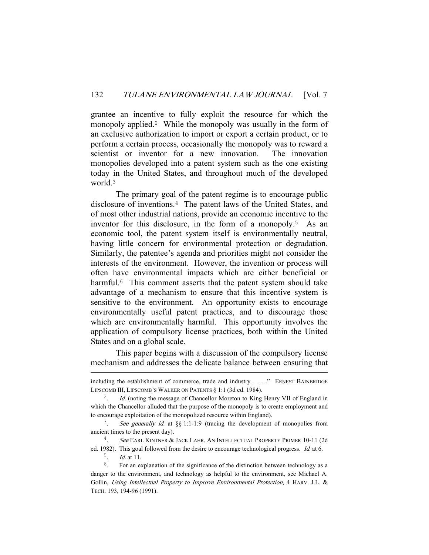grantee an incentive to fully exploit the resource for which the monopoly applied.<sup>2</sup> While the monopoly was usually in the form of an exclusive authorization to import or export a certain product, or to perform a certain process, occasionally the monopoly was to reward a scientist or inventor for a new innovation. The innovation monopolies developed into a patent system such as the one existing today in the United States, and throughout much of the developed world<sup>3</sup>

 The primary goal of the patent regime is to encourage public disclosure of inventions.4 The patent laws of the United States, and of most other industrial nations, provide an economic incentive to the inventor for this disclosure, in the form of a monopoly.5 As an economic tool, the patent system itself is environmentally neutral, having little concern for environmental protection or degradation. Similarly, the patentee's agenda and priorities might not consider the interests of the environment. However, the invention or process will often have environmental impacts which are either beneficial or harmful.<sup>6</sup> This comment asserts that the patent system should take advantage of a mechanism to ensure that this incentive system is sensitive to the environment. An opportunity exists to encourage environmentally useful patent practices, and to discourage those which are environmentally harmful. This opportunity involves the application of compulsory license practices, both within the United States and on a global scale.

 This paper begins with a discussion of the compulsory license mechanism and addresses the delicate balance between ensuring that

i<br>Li

including the establishment of commerce, trade and industry . . . ." ERNEST BAINBRIDGE LIPSCOMB III, LIPSCOMB'S WALKER ON PATENTS § 1:1 (3d ed. 1984).

Id. (noting the message of Chancellor Moreton to King Henry VII of England in which the Chancellor alluded that the purpose of the monopoly is to create employment and to encourage exploitation of the monopolized resource within England).

<sup>&</sup>lt;sup>3</sup>. See generally id. at  $\S$ § 1:1-1:9 (tracing the development of monopolies from ancient times to the present day).

<sup>&</sup>lt;sup>4</sup>. See EARL KINTNER & JACK LAHR, AN INTELLECTUAL PROPERTY PRIMER 10-11 (2d)

ed. 1982). This goal followed from the desire to encourage technological progress. *Id.* at 6.  $\frac{5}{ }$ . *Id.* at 11.

 $6.$  For an explanation of the significance of the distinction between technology as a danger to the environment, and technology as helpful to the environment, see Michael A. Gollin, Using Intellectual Property to Improve Environmental Protection, 4 HARV. J.L. & TECH. 193, 194-96 (1991).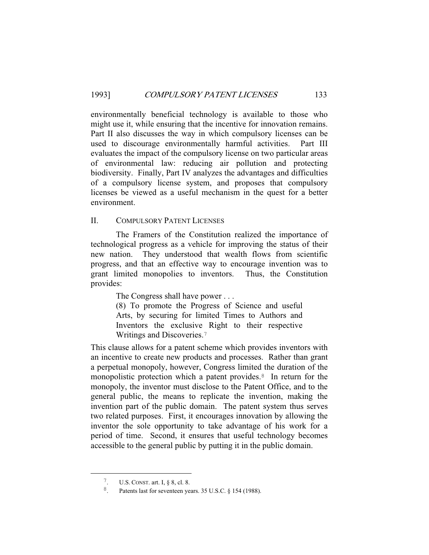environmentally beneficial technology is available to those who might use it, while ensuring that the incentive for innovation remains. Part II also discusses the way in which compulsory licenses can be used to discourage environmentally harmful activities. Part III evaluates the impact of the compulsory license on two particular areas of environmental law: reducing air pollution and protecting biodiversity. Finally, Part IV analyzes the advantages and difficulties of a compulsory license system, and proposes that compulsory licenses be viewed as a useful mechanism in the quest for a better environment.

#### II. COMPULSORY PATENT LICENSES

 The Framers of the Constitution realized the importance of technological progress as a vehicle for improving the status of their new nation. They understood that wealth flows from scientific progress, and that an effective way to encourage invention was to grant limited monopolies to inventors. Thus, the Constitution provides:

The Congress shall have power . . .

(8) To promote the Progress of Science and useful Arts, by securing for limited Times to Authors and Inventors the exclusive Right to their respective Writings and Discoveries.<sup>7</sup>

This clause allows for a patent scheme which provides inventors with an incentive to create new products and processes. Rather than grant a perpetual monopoly, however, Congress limited the duration of the monopolistic protection which a patent provides.<sup>8</sup> In return for the monopoly, the inventor must disclose to the Patent Office, and to the general public, the means to replicate the invention, making the invention part of the public domain. The patent system thus serves two related purposes. First, it encourages innovation by allowing the inventor the sole opportunity to take advantage of his work for a period of time. Second, it ensures that useful technology becomes accessible to the general public by putting it in the public domain.

 <sup>7</sup>. U.S. CONST. art. I, § 8, cl. 8.

<sup>&</sup>lt;sup>8</sup>. Patents last for seventeen years. 35 U.S.C.  $\S$  154 (1988).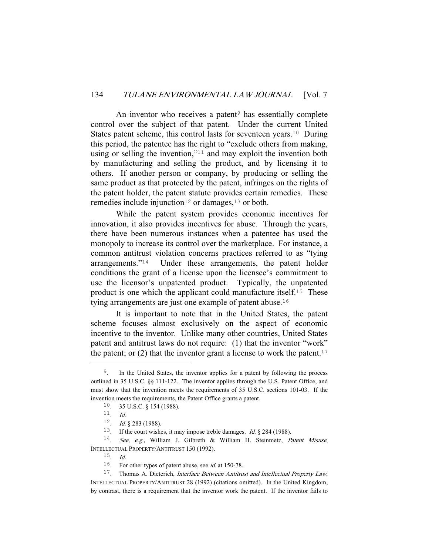An inventor who receives a patent $9$  has essentially complete control over the subject of that patent. Under the current United States patent scheme, this control lasts for seventeen years.<sup>10</sup> During this period, the patentee has the right to "exclude others from making, using or selling the invention,"11 and may exploit the invention both by manufacturing and selling the product, and by licensing it to others. If another person or company, by producing or selling the same product as that protected by the patent, infringes on the rights of the patent holder, the patent statute provides certain remedies. These remedies include injunction<sup>12</sup> or damages,<sup>13</sup> or both.

 While the patent system provides economic incentives for innovation, it also provides incentives for abuse. Through the years, there have been numerous instances when a patentee has used the monopoly to increase its control over the marketplace. For instance, a common antitrust violation concerns practices referred to as "tying arrangements."14 Under these arrangements, the patent holder conditions the grant of a license upon the licensee's commitment to use the licensor's unpatented product. Typically, the unpatented product is one which the applicant could manufacture itself.15 These tying arrangements are just one example of patent abuse.<sup>16</sup>

 It is important to note that in the United States, the patent scheme focuses almost exclusively on the aspect of economic incentive to the inventor. Unlike many other countries, United States patent and antitrust laws do not require: (1) that the inventor "work" the patent; or  $(2)$  that the inventor grant a license to work the patent.<sup>17</sup>

<sup>&</sup>lt;sup>9</sup>. In the United States, the inventor applies for a patent by following the process outlined in 35 U.S.C. §§ 111-122. The inventor applies through the U.S. Patent Office, and must show that the invention meets the requirements of 35 U.S.C. sections 101-03. If the invention meets the requirements, the Patent Office grants a patent.

<sup>10</sup>. 35 U.S.C. § 154 (1988).

<sup>11</sup>. Id.

<sup>&</sup>lt;sup>12</sup>. *Id.* § 283 (1988).

<sup>&</sup>lt;sup>13</sup>. If the court wishes, it may impose treble damages. *Id.* § 284 (1988).

<sup>&</sup>lt;sup>14</sup>. See, e.g., William J. Gilbreth & William H. Steinmetz, Patent Misuse, INTELLECTUAL PROPERTY/ANTITRUST 150 (1992).

<sup>15</sup>. Id.

<sup>&</sup>lt;sup>16</sup>. For other types of patent abuse, see *id.* at 150-78.

 $17.$  Thomas A. Dieterich, *Interface Between Antitrust and Intellectual Property Law*, INTELLECTUAL PROPERTY/ANTITRUST 28 (1992) (citations omitted). In the United Kingdom, by contrast, there is a requirement that the inventor work the patent. If the inventor fails to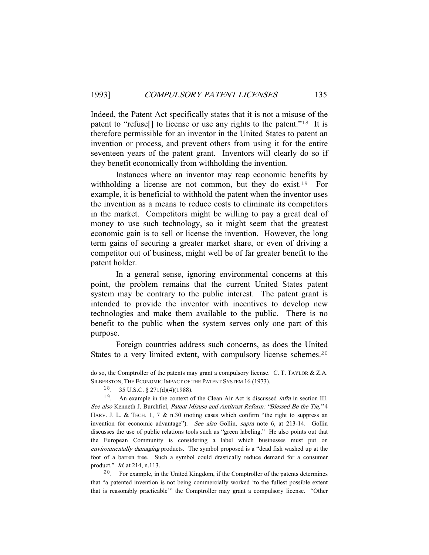Indeed, the Patent Act specifically states that it is not a misuse of the patent to "refuse[] to license or use any rights to the patent."18 It is therefore permissible for an inventor in the United States to patent an invention or process, and prevent others from using it for the entire seventeen years of the patent grant. Inventors will clearly do so if they benefit economically from withholding the invention.

 Instances where an inventor may reap economic benefits by withholding a license are not common, but they do exist.<sup>19</sup> For example, it is beneficial to withhold the patent when the inventor uses the invention as a means to reduce costs to eliminate its competitors in the market. Competitors might be willing to pay a great deal of money to use such technology, so it might seem that the greatest economic gain is to sell or license the invention. However, the long term gains of securing a greater market share, or even of driving a competitor out of business, might well be of far greater benefit to the patent holder.

 In a general sense, ignoring environmental concerns at this point, the problem remains that the current United States patent system may be contrary to the public interest. The patent grant is intended to provide the inventor with incentives to develop new technologies and make them available to the public. There is no benefit to the public when the system serves only one part of this purpose.

 Foreign countries address such concerns, as does the United States to a very limited extent, with compulsory license schemes.<sup>20</sup>

i<br>Li

20. For example, in the United Kingdom, if the Comptroller of the patents determines that "a patented invention is not being commercially worked 'to the fullest possible extent that is reasonably practicable'" the Comptroller may grant a compulsory license. "Other

do so, the Comptroller of the patents may grant a compulsory license. C. T. TAYLOR & Z.A. SILBERSTON, THE ECONOMIC IMPACT OF THE PATENT SYSTEM 16 (1973).

<sup>18</sup>. 35 U.S.C. § 271(d)(4)(1988).

<sup>&</sup>lt;sup>19</sup>. An example in the context of the Clean Air Act is discussed *infra* in section III. See also Kenneth J. Burchfiel, Patent Misuse and Antitrust Reform: "Blessed Be the Tie," 4 HARV. J. L. & TECH. 1, 7 & n.30 (noting cases which confirm "the right to suppress an invention for economic advantage"). See also Gollin, supra note 6, at 213-14. Gollin discusses the use of public relations tools such as "green labeling." He also points out that the European Community is considering a label which businesses must put on environmentally damaging products. The symbol proposed is a "dead fish washed up at the foot of a barren tree. Such a symbol could drastically reduce demand for a consumer product." Id. at 214, n.113.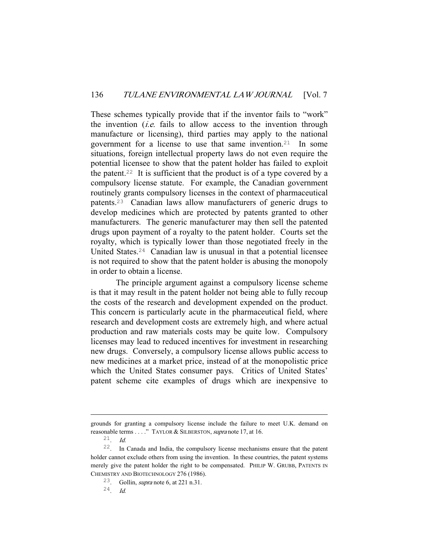These schemes typically provide that if the inventor fails to "work" the invention  $(i.e.$  fails to allow access to the invention through manufacture or licensing), third parties may apply to the national government for a license to use that same invention.21 In some situations, foreign intellectual property laws do not even require the potential licensee to show that the patent holder has failed to exploit the patent.<sup>22</sup> It is sufficient that the product is of a type covered by a compulsory license statute. For example, the Canadian government routinely grants compulsory licenses in the context of pharmaceutical patents.23 Canadian laws allow manufacturers of generic drugs to develop medicines which are protected by patents granted to other manufacturers. The generic manufacturer may then sell the patented drugs upon payment of a royalty to the patent holder. Courts set the royalty, which is typically lower than those negotiated freely in the United States.24 Canadian law is unusual in that a potential licensee is not required to show that the patent holder is abusing the monopoly in order to obtain a license.

 The principle argument against a compulsory license scheme is that it may result in the patent holder not being able to fully recoup the costs of the research and development expended on the product. This concern is particularly acute in the pharmaceutical field, where research and development costs are extremely high, and where actual production and raw materials costs may be quite low. Compulsory licenses may lead to reduced incentives for investment in researching new drugs. Conversely, a compulsory license allows public access to new medicines at a market price, instead of at the monopolistic price which the United States consumer pays. Critics of United States' patent scheme cite examples of drugs which are inexpensive to

i<br>Li

grounds for granting a compulsory license include the failure to meet U.K. demand on reasonable terms . . . ." TAYLOR & SILBERSTON, *supra* note 17, at 16.

 $21$  *Id.* 

<sup>22</sup>. In Canada and India, the compulsory license mechanisms ensure that the patent holder cannot exclude others from using the invention. In these countries, the patent systems merely give the patent holder the right to be compensated. PHILIP W. GRUBB, PATENTS IN CHEMISTRY AND BIOTECHNOLOGY 276 (1986).

<sup>23</sup>. Gollin, supra note 6, at 221 n.31.

 $24$  Id.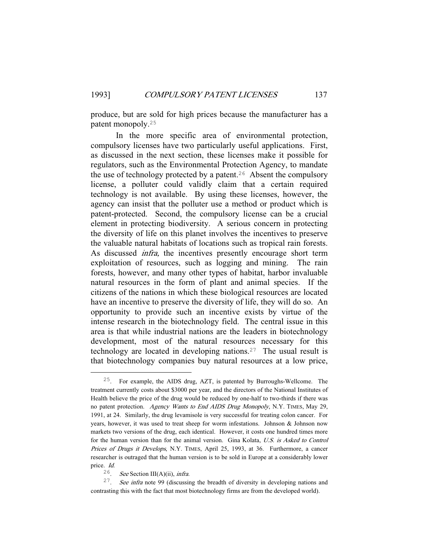produce, but are sold for high prices because the manufacturer has a patent monopoly.<sup>25</sup>

 In the more specific area of environmental protection, compulsory licenses have two particularly useful applications. First, as discussed in the next section, these licenses make it possible for regulators, such as the Environmental Protection Agency, to mandate the use of technology protected by a patent.<sup>26</sup> Absent the compulsory license, a polluter could validly claim that a certain required technology is not available. By using these licenses, however, the agency can insist that the polluter use a method or product which is patent-protected. Second, the compulsory license can be a crucial element in protecting biodiversity. A serious concern in protecting the diversity of life on this planet involves the incentives to preserve the valuable natural habitats of locations such as tropical rain forests. As discussed infra, the incentives presently encourage short term exploitation of resources, such as logging and mining. The rain forests, however, and many other types of habitat, harbor invaluable natural resources in the form of plant and animal species. If the citizens of the nations in which these biological resources are located have an incentive to preserve the diversity of life, they will do so. An opportunity to provide such an incentive exists by virtue of the intense research in the biotechnology field. The central issue in this area is that while industrial nations are the leaders in biotechnology development, most of the natural resources necessary for this technology are located in developing nations.27 The usual result is that biotechnology companies buy natural resources at a low price,

 <sup>25</sup>. For example, the AIDS drug, AZT, is patented by Burroughs-Wellcome. The treatment currently costs about \$3000 per year, and the directors of the National Institutes of Health believe the price of the drug would be reduced by one-half to two-thirds if there was no patent protection. Agency Wants to End AIDS Drug Monopoly, N.Y. TIMES, May 29, 1991, at 24. Similarly, the drug levamisole is very successful for treating colon cancer. For years, however, it was used to treat sheep for worm infestations. Johnson & Johnson now markets two versions of the drug, each identical. However, it costs one hundred times more for the human version than for the animal version. Gina Kolata, U.S. is Asked to Control Prices of Drugs it Develops, N.Y. TIMES, April 25, 1993, at 36. Furthermore, a cancer researcher is outraged that the human version is to be sold in Europe at a considerably lower price. Id.

<sup>&</sup>lt;sup>26</sup>. See Section III(A)(ii), *infra*.

 $27$ . See infra note 99 (discussing the breadth of diversity in developing nations and contrasting this with the fact that most biotechnology firms are from the developed world).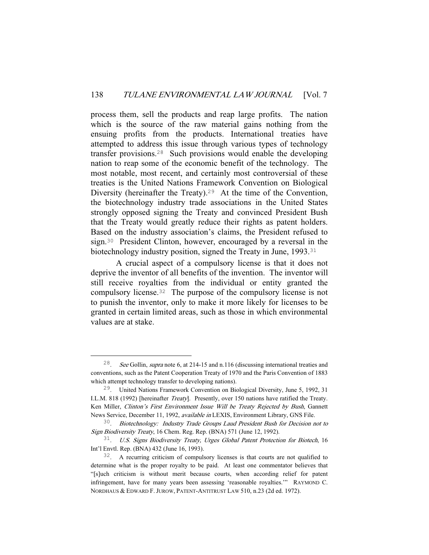process them, sell the products and reap large profits. The nation which is the source of the raw material gains nothing from the ensuing profits from the products. International treaties have attempted to address this issue through various types of technology transfer provisions.28 Such provisions would enable the developing nation to reap some of the economic benefit of the technology. The most notable, most recent, and certainly most controversial of these treaties is the United Nations Framework Convention on Biological Diversity (hereinafter the Treaty).<sup>29</sup> At the time of the Convention, the biotechnology industry trade associations in the United States strongly opposed signing the Treaty and convinced President Bush that the Treaty would greatly reduce their rights as patent holders. Based on the industry association's claims, the President refused to sign.30 President Clinton, however, encouraged by a reversal in the biotechnology industry position, signed the Treaty in June, 1993.<sup>31</sup>

 A crucial aspect of a compulsory license is that it does not deprive the inventor of all benefits of the invention. The inventor will still receive royalties from the individual or entity granted the compulsory license.32 The purpose of the compulsory license is not to punish the inventor, only to make it more likely for licenses to be granted in certain limited areas, such as those in which environmental values are at stake.

 <sup>28</sup>. See Gollin, supra note 6, at 214-15 and n.116 (discussing international treaties and conventions, such as the Patent Cooperation Treaty of 1970 and the Paris Convention of 1883 which attempt technology transfer to developing nations).

<sup>29</sup>. United Nations Framework Convention on Biological Diversity, June 5, 1992, 31 I.L.M. 818 (1992) [hereinafter Treaty]. Presently, over 150 nations have ratified the Treaty. Ken Miller, Clinton's First Environment Issue Will be Treaty Rejected by Bush, Gannett News Service, December 11, 1992, available in LEXIS, Environment Library, GNS File.

<sup>30</sup>. Biotechnology: Industry Trade Groups Laud President Bush for Decision not to Sign Biodiversity Treaty, 16 Chem. Reg. Rep. (BNA) 571 (June 12, 1992).

<sup>31</sup>. U.S. Signs Biodiversity Treaty, Urges Global Patent Protection for Biotech, 16 Int'l Envtl. Rep. (BNA) 432 (June 16, 1993).

<sup>32</sup>. A recurring criticism of compulsory licenses is that courts are not qualified to determine what is the proper royalty to be paid. At least one commentator believes that "[s]uch criticism is without merit because courts, when according relief for patent infringement, have for many years been assessing 'reasonable royalties.'" RAYMOND C. NORDHAUS & EDWARD F.JUROW, PATENT-ANTITRUST LAW 510, n.23 (2d ed. 1972).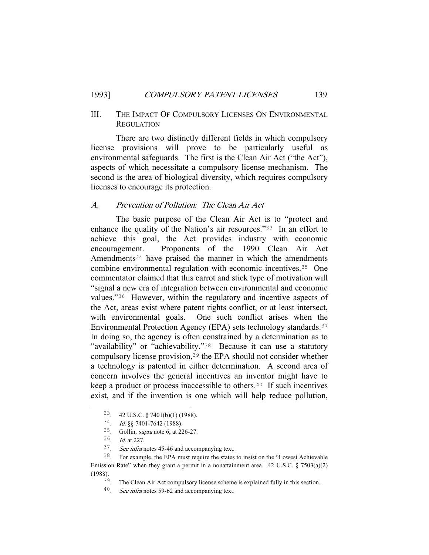## III. THE IMPACT OF COMPULSORY LICENSES ON ENVIRONMENTAL **REGULATION**

 There are two distinctly different fields in which compulsory license provisions will prove to be particularly useful as environmental safeguards. The first is the Clean Air Act ("the Act"), aspects of which necessitate a compulsory license mechanism. The second is the area of biological diversity, which requires compulsory licenses to encourage its protection.

## A. Prevention of Pollution: The Clean Air Act

 The basic purpose of the Clean Air Act is to "protect and enhance the quality of the Nation's air resources."33 In an effort to achieve this goal, the Act provides industry with economic encouragement. Proponents of the 1990 Clean Air Act Amendments<sup>34</sup> have praised the manner in which the amendments combine environmental regulation with economic incentives.35 One commentator claimed that this carrot and stick type of motivation will "signal a new era of integration between environmental and economic values."36 However, within the regulatory and incentive aspects of the Act, areas exist where patent rights conflict, or at least intersect, with environmental goals. One such conflict arises when the Environmental Protection Agency (EPA) sets technology standards.<sup>37</sup> In doing so, the agency is often constrained by a determination as to "availability" or "achievability."<sup>38</sup> Because it can use a statutory compulsory license provision,39 the EPA should not consider whether a technology is patented in either determination. A second area of concern involves the general incentives an inventor might have to keep a product or process inaccessible to others.40 If such incentives exist, and if the invention is one which will help reduce pollution,

 <sup>33</sup>. 42 U.S.C. § 7401(b)(1) (1988).

<sup>34</sup>. Id. §§ 7401-7642 (1988).

<sup>35</sup>. Gollin, supra note 6, at 226-27.

<sup>36</sup>. Id. at 227.

<sup>37</sup>. See infra notes 45-46 and accompanying text.

<sup>38</sup>. For example, the EPA must require the states to insist on the "Lowest Achievable Emission Rate" when they grant a permit in a nonattainment area.  $42 \text{ U.S.C. }$  §  $7503(a)(2)$ (1988).

<sup>39</sup>. The Clean Air Act compulsory license scheme is explained fully in this section.

<sup>40</sup>. See infra notes 59-62 and accompanying text.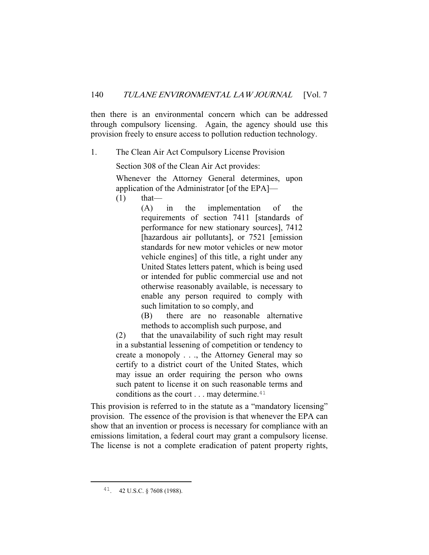then there is an environmental concern which can be addressed through compulsory licensing. Again, the agency should use this provision freely to ensure access to pollution reduction technology.

1. The Clean Air Act Compulsory License Provision

Section 308 of the Clean Air Act provides:

Whenever the Attorney General determines, upon application of the Administrator [of the EPA]—

 $(1)$  that—

(A) in the implementation of the requirements of section 7411 [standards of performance for new stationary sources], 7412 [hazardous air pollutants], or 7521 [emission] standards for new motor vehicles or new motor vehicle engines] of this title, a right under any United States letters patent, which is being used or intended for public commercial use and not otherwise reasonably available, is necessary to enable any person required to comply with such limitation to so comply, and

(B) there are no reasonable alternative methods to accomplish such purpose, and

(2) that the unavailability of such right may result in a substantial lessening of competition or tendency to create a monopoly . . ., the Attorney General may so certify to a district court of the United States, which may issue an order requiring the person who owns such patent to license it on such reasonable terms and conditions as the court . . . may determine.<sup>41</sup>

This provision is referred to in the statute as a "mandatory licensing" provision. The essence of the provision is that whenever the EPA can show that an invention or process is necessary for compliance with an emissions limitation, a federal court may grant a compulsory license. The license is not a complete eradication of patent property rights,

 <sup>41</sup>. 42 U.S.C. § 7608 (1988).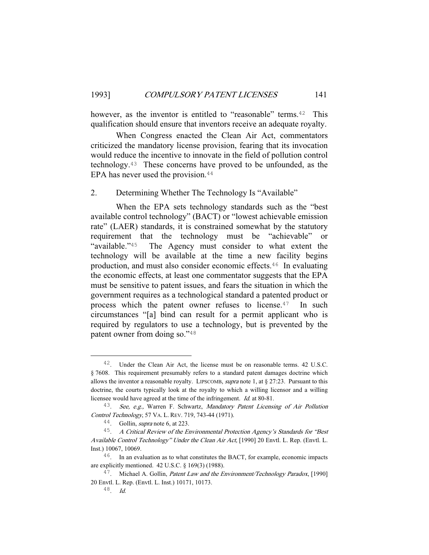however, as the inventor is entitled to "reasonable" terms.<sup>42</sup> This qualification should ensure that inventors receive an adequate royalty.

 When Congress enacted the Clean Air Act, commentators criticized the mandatory license provision, fearing that its invocation would reduce the incentive to innovate in the field of pollution control technology.43 These concerns have proved to be unfounded, as the EPA has never used the provision.<sup>44</sup>

## 2. Determining Whether The Technology Is "Available"

 When the EPA sets technology standards such as the "best available control technology" (BACT) or "lowest achievable emission rate" (LAER) standards, it is constrained somewhat by the statutory requirement that the technology must be "achievable" or "available."45 The Agency must consider to what extent the technology will be available at the time a new facility begins production, and must also consider economic effects.46 In evaluating the economic effects, at least one commentator suggests that the EPA must be sensitive to patent issues, and fears the situation in which the government requires as a technological standard a patented product or process which the patent owner refuses to license.47 In such circumstances "[a] bind can result for a permit applicant who is required by regulators to use a technology, but is prevented by the patent owner from doing so."<sup>48</sup>

<sup>&</sup>lt;sup>42</sup>. Under the Clean Air Act, the license must be on reasonable terms. 42 U.S.C. § 7608. This requirement presumably refers to a standard patent damages doctrine which allows the inventor a reasonable royalty. LIPSCOMB, supra note 1, at  $\S 27:23$ . Pursuant to this doctrine, the courts typically look at the royalty to which a willing licensor and a willing licensee would have agreed at the time of the infringement. Id. at 80-81.

<sup>&</sup>lt;sup>43</sup>. See, e.g., Warren F. Schwartz, Mandatory Patent Licensing of Air Pollution Control Technology, 57 VA. L. REV. 719, 743-44 (1971).

<sup>44</sup>. Gollin, supra note 6, at 223.

<sup>&</sup>lt;sup>45</sup>. A Critical Review of the Environmental Protection Agency's Standards for "Best Available Control Technology" Under the Clean Air Act, [1990] 20 Envtl. L. Rep. (Envtl. L. Inst.) 10067, 10069.

 $46$ . In an evaluation as to what constitutes the BACT, for example, economic impacts are explicitly mentioned. 42 U.S.C. § 169(3) (1988).

<sup>&</sup>lt;sup>47</sup>. Michael A. Gollin, *Patent Law and the Environment/Technology Paradox*, [1990] 20 Envtl. L. Rep. (Envtl. L. Inst.) 10171, 10173.

 $^{48}$ . Id.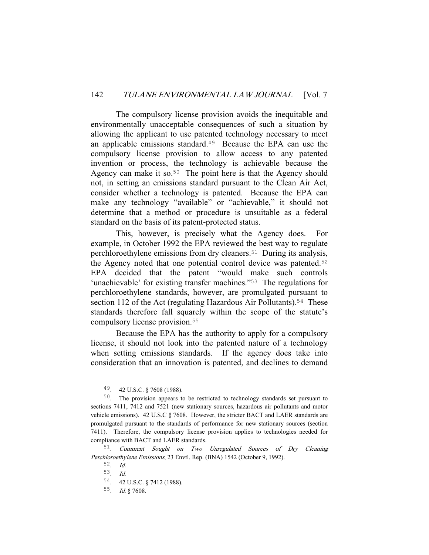The compulsory license provision avoids the inequitable and environmentally unacceptable consequences of such a situation by allowing the applicant to use patented technology necessary to meet an applicable emissions standard.49 Because the EPA can use the compulsory license provision to allow access to any patented invention or process, the technology is achievable because the Agency can make it so.<sup>50</sup> The point here is that the Agency should not, in setting an emissions standard pursuant to the Clean Air Act, consider whether a technology is patented. Because the EPA can make any technology "available" or "achievable," it should not determine that a method or procedure is unsuitable as a federal standard on the basis of its patent-protected status.

 This, however, is precisely what the Agency does. For example, in October 1992 the EPA reviewed the best way to regulate perchloroethylene emissions from dry cleaners.51 During its analysis, the Agency noted that one potential control device was patented.<sup>52</sup> EPA decided that the patent "would make such controls 'unachievable' for existing transfer machines."<sup>53</sup> The regulations for perchloroethylene standards, however, are promulgated pursuant to section 112 of the Act (regulating Hazardous Air Pollutants).<sup>54</sup> These standards therefore fall squarely within the scope of the statute's compulsory license provision.<sup>55</sup>

 Because the EPA has the authority to apply for a compulsory license, it should not look into the patented nature of a technology when setting emissions standards. If the agency does take into consideration that an innovation is patented, and declines to demand

 <sup>49</sup>. 42 U.S.C. § 7608 (1988).

<sup>50</sup>. The provision appears to be restricted to technology standards set pursuant to sections 7411, 7412 and 7521 (new stationary sources, hazardous air pollutants and motor vehicle emissions). 42 U.S.C § 7608. However, the stricter BACT and LAER standards are promulgated pursuant to the standards of performance for new stationary sources (section 7411). Therefore, the compulsory license provision applies to technologies needed for compliance with BACT and LAER standards.

<sup>51</sup>. Comment Sought on Two Unregulated Sources of Dry Cleaning Perchloroethylene Emissions, 23 Envtl. Rep. (BNA) 1542 (October 9, 1992).

<sup>52</sup>. Id.

<sup>53</sup>. Id.

<sup>54</sup>. 42 U.S.C. § 7412 (1988).

<sup>55</sup>. Id. § 7608.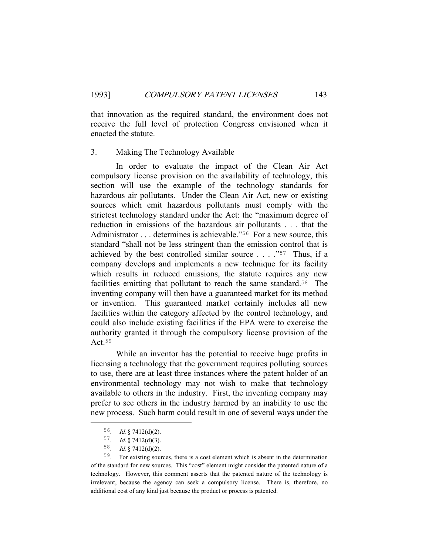that innovation as the required standard, the environment does not receive the full level of protection Congress envisioned when it enacted the statute.

#### 3. Making The Technology Available

 In order to evaluate the impact of the Clean Air Act compulsory license provision on the availability of technology, this section will use the example of the technology standards for hazardous air pollutants. Under the Clean Air Act, new or existing sources which emit hazardous pollutants must comply with the strictest technology standard under the Act: the "maximum degree of reduction in emissions of the hazardous air pollutants . . . that the Administrator . . . determines is achievable."<sup>56</sup> For a new source, this standard "shall not be less stringent than the emission control that is achieved by the best controlled similar source . . . ."57 Thus, if a company develops and implements a new technique for its facility which results in reduced emissions, the statute requires any new facilities emitting that pollutant to reach the same standard.<sup>58</sup> The inventing company will then have a guaranteed market for its method or invention. This guaranteed market certainly includes all new facilities within the category affected by the control technology, and could also include existing facilities if the EPA were to exercise the authority granted it through the compulsory license provision of the Act.<sup>59</sup>

 While an inventor has the potential to receive huge profits in licensing a technology that the government requires polluting sources to use, there are at least three instances where the patent holder of an environmental technology may not wish to make that technology available to others in the industry. First, the inventing company may prefer to see others in the industry harmed by an inability to use the new process. Such harm could result in one of several ways under the

 <sup>56</sup>. Id. § 7412(d)(2).

<sup>57.</sup> Id. § 7412(d)(3).

<sup>58</sup>. Id. § 7412(d)(2).

<sup>59</sup>. For existing sources, there is a cost element which is absent in the determination of the standard for new sources. This "cost" element might consider the patented nature of a technology. However, this comment asserts that the patented nature of the technology is irrelevant, because the agency can seek a compulsory license. There is, therefore, no additional cost of any kind just because the product or process is patented.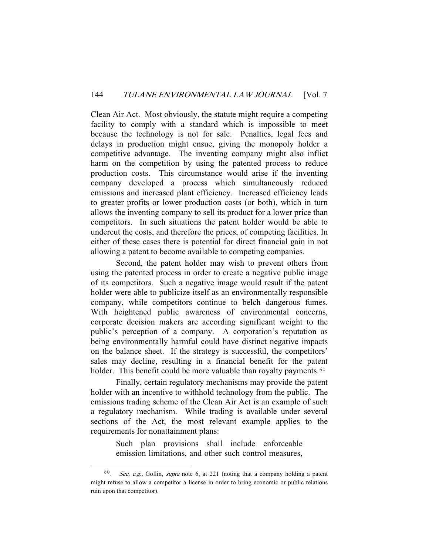Clean Air Act. Most obviously, the statute might require a competing facility to comply with a standard which is impossible to meet because the technology is not for sale. Penalties, legal fees and delays in production might ensue, giving the monopoly holder a competitive advantage. The inventing company might also inflict harm on the competition by using the patented process to reduce production costs. This circumstance would arise if the inventing company developed a process which simultaneously reduced emissions and increased plant efficiency. Increased efficiency leads to greater profits or lower production costs (or both), which in turn allows the inventing company to sell its product for a lower price than competitors. In such situations the patent holder would be able to undercut the costs, and therefore the prices, of competing facilities. In either of these cases there is potential for direct financial gain in not allowing a patent to become available to competing companies.

 Second, the patent holder may wish to prevent others from using the patented process in order to create a negative public image of its competitors. Such a negative image would result if the patent holder were able to publicize itself as an environmentally responsible company, while competitors continue to belch dangerous fumes. With heightened public awareness of environmental concerns, corporate decision makers are according significant weight to the public's perception of a company. A corporation's reputation as being environmentally harmful could have distinct negative impacts on the balance sheet. If the strategy is successful, the competitors' sales may decline, resulting in a financial benefit for the patent holder. This benefit could be more valuable than royalty payments.<sup>60</sup>

 Finally, certain regulatory mechanisms may provide the patent holder with an incentive to withhold technology from the public. The emissions trading scheme of the Clean Air Act is an example of such a regulatory mechanism. While trading is available under several sections of the Act, the most relevant example applies to the requirements for nonattainment plans:

> Such plan provisions shall include enforceable emission limitations, and other such control measures,

 $60.$  See, e.g., Gollin, supra note 6, at 221 (noting that a company holding a patent might refuse to allow a competitor a license in order to bring economic or public relations ruin upon that competitor).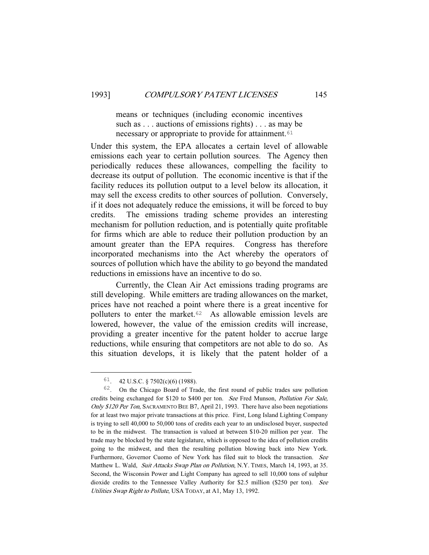means or techniques (including economic incentives such as . . . auctions of emissions rights) . . . as may be necessary or appropriate to provide for attainment.<sup>61</sup>

Under this system, the EPA allocates a certain level of allowable emissions each year to certain pollution sources. The Agency then periodically reduces these allowances, compelling the facility to decrease its output of pollution. The economic incentive is that if the facility reduces its pollution output to a level below its allocation, it may sell the excess credits to other sources of pollution. Conversely, if it does not adequately reduce the emissions, it will be forced to buy credits. The emissions trading scheme provides an interesting mechanism for pollution reduction, and is potentially quite profitable for firms which are able to reduce their pollution production by an amount greater than the EPA requires. Congress has therefore incorporated mechanisms into the Act whereby the operators of sources of pollution which have the ability to go beyond the mandated reductions in emissions have an incentive to do so.

 Currently, the Clean Air Act emissions trading programs are still developing. While emitters are trading allowances on the market, prices have not reached a point where there is a great incentive for polluters to enter the market.62 As allowable emission levels are lowered, however, the value of the emission credits will increase, providing a greater incentive for the patent holder to accrue large reductions, while ensuring that competitors are not able to do so. As this situation develops, it is likely that the patent holder of a

 $61.$  42 U.S.C. § 7502(c)(6) (1988).

<sup>62</sup>. On the Chicago Board of Trade, the first round of public trades saw pollution credits being exchanged for \$120 to \$400 per ton. See Fred Munson, Pollution For Sale, Only \$120 Per Ton, SACRAMENTO BEE B7, April 21, 1993. There have also been negotiations for at least two major private transactions at this price. First, Long Island Lighting Company is trying to sell 40,000 to 50,000 tons of credits each year to an undisclosed buyer, suspected to be in the midwest. The transaction is valued at between \$10-20 million per year. The trade may be blocked by the state legislature, which is opposed to the idea of pollution credits going to the midwest, and then the resulting pollution blowing back into New York. Furthermore, Governor Cuomo of New York has filed suit to block the transaction. See Matthew L. Wald, Suit Attacks Swap Plan on Pollution, N.Y. TIMES, March 14, 1993, at 35. Second, the Wisconsin Power and Light Company has agreed to sell 10,000 tons of sulphur dioxide credits to the Tennessee Valley Authority for \$2.5 million (\$250 per ton). See Utilities Swap Right to Pollute, USA TODAY, at A1, May 13, 1992.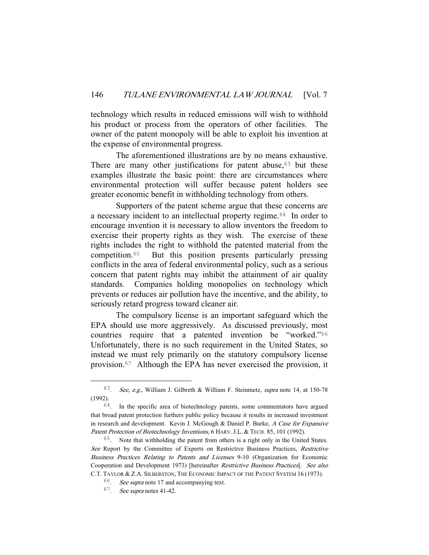technology which results in reduced emissions will wish to withhold his product or process from the operators of other facilities. The owner of the patent monopoly will be able to exploit his invention at the expense of environmental progress.

 The aforementioned illustrations are by no means exhaustive. There are many other justifications for patent abuse, $63$  but these examples illustrate the basic point: there are circumstances where environmental protection will suffer because patent holders see greater economic benefit in withholding technology from others.

 Supporters of the patent scheme argue that these concerns are a necessary incident to an intellectual property regime.<sup>64</sup> In order to encourage invention it is necessary to allow inventors the freedom to exercise their property rights as they wish. The exercise of these rights includes the right to withhold the patented material from the competition.65 But this position presents particularly pressing conflicts in the area of federal environmental policy, such as a serious concern that patent rights may inhibit the attainment of air quality standards. Companies holding monopolies on technology which prevents or reduces air pollution have the incentive, and the ability, to seriously retard progress toward cleaner air.

 The compulsory license is an important safeguard which the EPA should use more aggressively. As discussed previously, most countries require that a patented invention be "worked."<sup>66</sup> Unfortunately, there is no such requirement in the United States, so instead we must rely primarily on the statutory compulsory license provision.67 Although the EPA has never exercised the provision, it

 <sup>63</sup>. See, e.g., William J. Gilbreth & William F. Steinmetz, supra note 14, at 150-78 (1992).

 $64$ . In the specific area of biotechnology patents, some commentators have argued that broad patent protection furthers public policy because it results in increased investment in research and development. Kevin J. McGough & Daniel P. Burke, A Case for Expansive Patent Protection of Biotechnology Inventions, 6 HARV. J.L. & TECH. 85, 101 (1992).

<sup>65</sup>. Note that withholding the patent from others is a right only in the United States. See Report by the Committee of Experts on Restrictive Business Practices, Restrictive Business Practices Relating to Patents and Licenses 9-10 (Organization for Economic Cooperation and Development 1973) [hereinafter Restrictive Business Practices]. See also C.T. TAYLOR & Z.A. SILBERSTON, THE ECONOMIC IMPACT OF THE PATENT SYSTEM 16 (1973).

<sup>66</sup>. See supra note 17 and accompanying text.

<sup>67</sup>. See supra notes 41-42.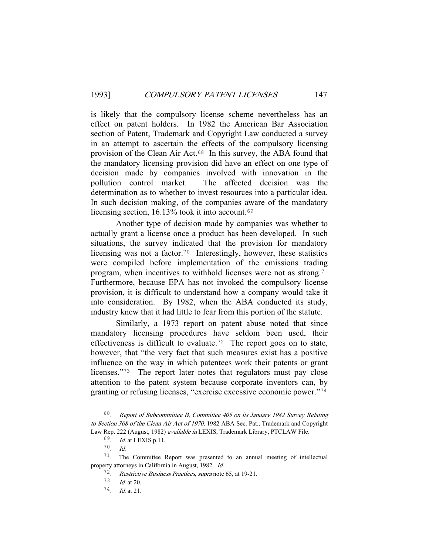is likely that the compulsory license scheme nevertheless has an effect on patent holders. In 1982 the American Bar Association section of Patent, Trademark and Copyright Law conducted a survey in an attempt to ascertain the effects of the compulsory licensing provision of the Clean Air Act.68 In this survey, the ABA found that the mandatory licensing provision did have an effect on one type of decision made by companies involved with innovation in the pollution control market. The affected decision was the determination as to whether to invest resources into a particular idea. In such decision making, of the companies aware of the mandatory licensing section, 16.13% took it into account.<sup>69</sup>

 Another type of decision made by companies was whether to actually grant a license once a product has been developed. In such situations, the survey indicated that the provision for mandatory licensing was not a factor.<sup>70</sup> Interestingly, however, these statistics were compiled before implementation of the emissions trading program, when incentives to withhold licenses were not as strong.<sup>71</sup> Furthermore, because EPA has not invoked the compulsory license provision, it is difficult to understand how a company would take it into consideration. By 1982, when the ABA conducted its study, industry knew that it had little to fear from this portion of the statute.

 Similarly, a 1973 report on patent abuse noted that since mandatory licensing procedures have seldom been used, their effectiveness is difficult to evaluate.<sup>72</sup> The report goes on to state, however, that "the very fact that such measures exist has a positive influence on the way in which patentees work their patents or grant licenses."73 The report later notes that regulators must pay close attention to the patent system because corporate inventors can, by granting or refusing licenses, "exercise excessive economic power."<sup>74</sup>

 <sup>68</sup>. Report of Subcommittee B, Committee 405 on its January 1982 Survey Relating to Section 308 of the Clean Air Act of 1970, 1982 ABA Sec. Pat., Trademark and Copyright Law Rep. 222 (August, 1982) available in LEXIS, Trademark Library, PTCLAW File.

<sup>69</sup>. Id. at LEXIS p.11.

<sup>70</sup>. Id.

<sup>71</sup>. The Committee Report was presented to an annual meeting of intellectual property attorneys in California in August, 1982. Id.

<sup>72</sup>. Restrictive Business Practices, supra note 65, at 19-21.

<sup>73</sup>. Id. at 20.

<sup>74</sup>. Id. at 21.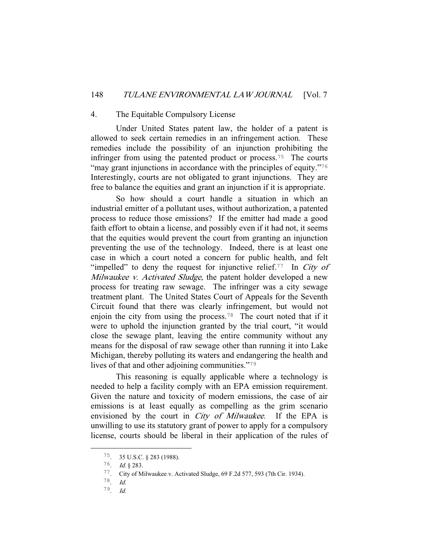#### 4. The Equitable Compulsory License

 Under United States patent law, the holder of a patent is allowed to seek certain remedies in an infringement action. These remedies include the possibility of an injunction prohibiting the infringer from using the patented product or process.75 The courts "may grant injunctions in accordance with the principles of equity."<sup>76</sup> Interestingly, courts are not obligated to grant injunctions. They are free to balance the equities and grant an injunction if it is appropriate.

 So how should a court handle a situation in which an industrial emitter of a pollutant uses, without authorization, a patented process to reduce those emissions? If the emitter had made a good faith effort to obtain a license, and possibly even if it had not, it seems that the equities would prevent the court from granting an injunction preventing the use of the technology. Indeed, there is at least one case in which a court noted a concern for public health, and felt "impelled" to deny the request for injunctive relief.<sup>77</sup> In City of Milwaukee v. Activated Sludge, the patent holder developed a new process for treating raw sewage. The infringer was a city sewage treatment plant. The United States Court of Appeals for the Seventh Circuit found that there was clearly infringement, but would not enjoin the city from using the process.78 The court noted that if it were to uphold the injunction granted by the trial court, "it would close the sewage plant, leaving the entire community without any means for the disposal of raw sewage other than running it into Lake Michigan, thereby polluting its waters and endangering the health and lives of that and other adjoining communities."<sup>79</sup>

 This reasoning is equally applicable where a technology is needed to help a facility comply with an EPA emission requirement. Given the nature and toxicity of modern emissions, the case of air emissions is at least equally as compelling as the grim scenario envisioned by the court in *City of Milwaukee*. If the EPA is unwilling to use its statutory grant of power to apply for a compulsory license, courts should be liberal in their application of the rules of

 <sup>75</sup>. 35 U.S.C. § 283 (1988).

<sup>76</sup>. Id. § 283.

<sup>77</sup>. City of Milwaukee v. Activated Sludge, 69 F.2d 577, 593 (7th Cir. 1934).

<sup>78</sup>. Id. 79. Id.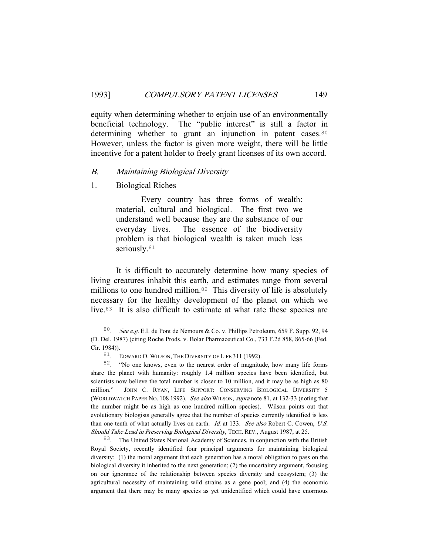equity when determining whether to enjoin use of an environmentally beneficial technology. The "public interest" is still a factor in determining whether to grant an injunction in patent cases.<sup>80</sup> However, unless the factor is given more weight, there will be little incentive for a patent holder to freely grant licenses of its own accord.

#### B. Maintaining Biological Diversity

1. Biological Riches

 Every country has three forms of wealth: material, cultural and biological. The first two we understand well because they are the substance of our everyday lives. The essence of the biodiversity problem is that biological wealth is taken much less seriously.<sup>81</sup>

 It is difficult to accurately determine how many species of living creatures inhabit this earth, and estimates range from several millions to one hundred million.<sup>82</sup> This diversity of life is absolutely necessary for the healthy development of the planet on which we live.83 It is also difficult to estimate at what rate these species are

83. The United States National Academy of Sciences, in conjunction with the British Royal Society, recently identified four principal arguments for maintaining biological diversity: (1) the moral argument that each generation has a moral obligation to pass on the biological diversity it inherited to the next generation; (2) the uncertainty argument, focusing on our ignorance of the relationship between species diversity and ecosystem; (3) the agricultural necessity of maintaining wild strains as a gene pool; and (4) the economic argument that there may be many species as yet unidentified which could have enormous

 <sup>80</sup>. See e.g. E.I. du Pont de Nemours & Co. v. Phillips Petroleum, 659 F. Supp. 92, 94 (D. Del. 1987) (citing Roche Prods. v. Bolar Pharmaceutical Co., 733 F.2d 858, 865-66 (Fed. Cir. 1984)).

<sup>81</sup>. EDWARD O. WILSON, THE DIVERSITY OF LIFE 311 (1992).

<sup>82</sup>. "No one knows, even to the nearest order of magnitude, how many life forms share the planet with humanity: roughly 1.4 million species have been identified, but scientists now believe the total number is closer to 10 million, and it may be as high as 80 million." JOHN C. RYAN, LIFE SUPPORT: CONSERVING BIOLOGICAL DIVERSITY 5 (WORLDWATCH PAPER NO. 108 1992). See also WILSON, supra note 81, at 132-33 (noting that the number might be as high as one hundred million species). Wilson points out that evolutionary biologists generally agree that the number of species currently identified is less than one tenth of what actually lives on earth. *Id.* at 133. See also Robert C. Cowen, U.S. Should Take Lead in Preserving Biological Diversity, TECH. REV., August 1987, at 25.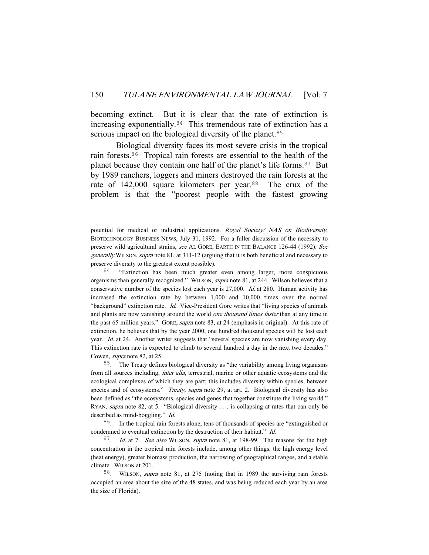becoming extinct. But it is clear that the rate of extinction is increasing exponentially.84 This tremendous rate of extinction has a serious impact on the biological diversity of the planet.<sup>85</sup>

 Biological diversity faces its most severe crisis in the tropical rain forests.86 Tropical rain forests are essential to the health of the planet because they contain one half of the planet's life forms.87 But by 1989 ranchers, loggers and miners destroyed the rain forests at the rate of 142,000 square kilometers per year.<sup>88</sup> The crux of the problem is that the "poorest people with the fastest growing

i<br>Li

<sup>84</sup>. "Extinction has been much greater even among larger, more conspicuous organisms than generally recognized." WILSON, supra note 81, at 244. Wilson believes that a conservative number of the species lost each year is 27,000. Id. at 280. Human activity has increased the extinction rate by between 1,000 and 10,000 times over the normal "background" extinction rate. Id. Vice-President Gore writes that "living species of animals and plants are now vanishing around the world *one thousand times faster* than at any time in the past 65 million years." GORE, supra note 83, at 24 (emphasis in original). At this rate of extinction, he believes that by the year 2000, one hundred thousand species will be lost each year. Id. at 24. Another writer suggests that "several species are now vanishing every day. This extinction rate is expected to climb to several hundred a day in the next two decades." Cowen, supra note 82, at 25.

<sup>85</sup>. The Treaty defines biological diversity as "the variability among living organisms from all sources including, *inter alia*, terrestrial, marine or other aquatic ecosystems and the ecological complexes of which they are part; this includes diversity within species, between species and of ecosystems." Treaty, supra note 29, at art. 2. Biological diversity has also been defined as "the ecosystems, species and genes that together constitute the living world." RYAN, supra note 82, at 5. "Biological diversity . . . is collapsing at rates that can only be described as mind-boggling." Id.

86. In the tropical rain forests alone, tens of thousands of species are "extinguished or condemned to eventual extinction by the destruction of their habitat." Id.

<sup>87</sup>. Id. at 7. See also WILSON, supra note 81, at 198-99. The reasons for the high concentration in the tropical rain forests include, among other things, the high energy level (heat energy), greater biomass production, the narrowing of geographical ranges, and a stable climate. WILSON at 201.

88. WILSON, supra note 81, at 275 (noting that in 1989 the surviving rain forests occupied an area about the size of the 48 states, and was being reduced each year by an area the size of Florida).

potential for medical or industrial applications. Royal Society/ NAS on Biodiversity, BIOTECHNOLOGY BUSINESS NEWS, July 31, 1992. For a fuller discussion of the necessity to preserve wild agricultural strains, see AL GORE, EARTH IN THE BALANCE 126-44 (1992). See generally WILSON, supra note 81, at 311-12 (arguing that it is both beneficial and necessary to preserve diversity to the greatest extent possible).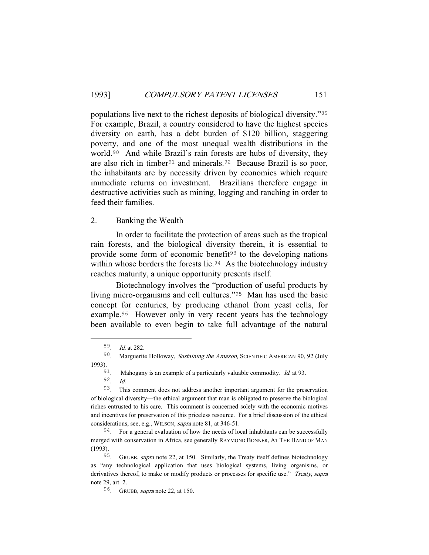populations live next to the richest deposits of biological diversity."<sup>89</sup> For example, Brazil, a country considered to have the highest species diversity on earth, has a debt burden of \$120 billion, staggering poverty, and one of the most unequal wealth distributions in the world.90 And while Brazil's rain forests are hubs of diversity, they are also rich in timber<sup>91</sup> and minerals.<sup>92</sup> Because Brazil is so poor, the inhabitants are by necessity driven by economies which require immediate returns on investment. Brazilians therefore engage in destructive activities such as mining, logging and ranching in order to feed their families.

#### 2. Banking the Wealth

 In order to facilitate the protection of areas such as the tropical rain forests, and the biological diversity therein, it is essential to provide some form of economic benefit<sup>93</sup> to the developing nations within whose borders the forests lie.<sup>94</sup> As the biotechnology industry reaches maturity, a unique opportunity presents itself.

 Biotechnology involves the "production of useful products by living micro-organisms and cell cultures."95 Man has used the basic concept for centuries, by producing ethanol from yeast cells, for example.96 However only in very recent years has the technology been available to even begin to take full advantage of the natural

 <sup>89</sup>. Id. at 282.

<sup>&</sup>lt;sup>90</sup>. Marguerite Holloway, Sustaining the Amazon, SCIENTIFIC AMERICAN 90, 92 (July 1993).

<sup>&</sup>lt;sup>91</sup>. Mahogany is an example of a particularly valuable commodity. *Id.* at 93.

<sup>92</sup>. Id.

<sup>93</sup>. This comment does not address another important argument for the preservation of biological diversity—the ethical argument that man is obligated to preserve the biological riches entrusted to his care. This comment is concerned solely with the economic motives and incentives for preservation of this priceless resource. For a brief discussion of the ethical considerations, see, e.g., WILSON, supra note 81, at 346-51.

<sup>&</sup>lt;sup>94</sup>. For a general evaluation of how the needs of local inhabitants can be successfully merged with conservation in Africa, see generally RAYMOND BONNER, AT THE HAND OF MAN (1993).

<sup>&</sup>lt;sup>95</sup>. GRUBB, *supra* note 22, at 150. Similarly, the Treaty itself defines biotechnology as "any technological application that uses biological systems, living organisms, or derivatives thereof, to make or modify products or processes for specific use." Treaty, supra note 29, art. 2.

<sup>96</sup>. GRUBB, supra note 22, at 150.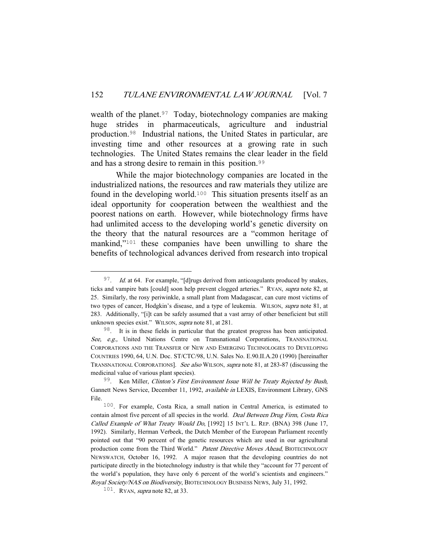wealth of the planet.<sup>97</sup> Today, biotechnology companies are making huge strides in pharmaceuticals, agriculture and industrial production.98 Industrial nations, the United States in particular, are investing time and other resources at a growing rate in such technologies. The United States remains the clear leader in the field and has a strong desire to remain in this position.<sup>99</sup>

 While the major biotechnology companies are located in the industrialized nations, the resources and raw materials they utilize are found in the developing world.100 This situation presents itself as an ideal opportunity for cooperation between the wealthiest and the poorest nations on earth. However, while biotechnology firms have had unlimited access to the developing world's genetic diversity on the theory that the natural resources are a "common heritage of mankind,"101 these companies have been unwilling to share the benefits of technological advances derived from research into tropical

 $97.$  Id. at 64. For example, "[d]rugs derived from anticoagulants produced by snakes, ticks and vampire bats [could] soon help prevent clogged arteries." RYAN, supra note 82, at 25. Similarly, the rosy periwinkle, a small plant from Madagascar, can cure most victims of two types of cancer, Hodgkin's disease, and a type of leukemia. WILSON, supra note 81, at 283. Additionally, "[i]t can be safely assumed that a vast array of other beneficient but still unknown species exist." WILSON, supra note 81, at 281.

<sup>98</sup>. It is in these fields in particular that the greatest progress has been anticipated. See, e.g., United Nations Centre on Transnational Corporations, TRANSNATIONAL CORPORATIONS AND THE TRANSFER OF NEW AND EMERGING TECHNOLOGIES TO DEVELOPING COUNTRIES 1990, 64, U.N. Doc. ST/CTC/98, U.N. Sales No. E.90.II.A.20 (1990) [hereinafter TRANSNATIONAL CORPORATIONS]. See also WILSON, supra note 81, at 283-87 (discussing the medicinal value of various plant species).

 $99^9$ . Ken Miller, Clinton's First Environment Issue Will be Treaty Rejected by Bush, Gannett News Service, December 11, 1992, available in LEXIS, Environment Library, GNS File.

<sup>100</sup>. For example, Costa Rica, a small nation in Central America, is estimated to contain almost five percent of all species in the world. Deal Between Drug Firm, Costa Rica Called Example of What Treaty Would Do, [1992] 15 INT'L L. REP. (BNA) 398 (June 17, 1992). Similarly, Herman Verbeek, the Dutch Member of the European Parliament recently pointed out that "90 percent of the genetic resources which are used in our agricultural production come from the Third World." Patent Directive Moves Ahead, BIOTECHNOLOGY NEWSWATCH, October 16, 1992. A major reason that the developing countries do not participate directly in the biotechnology industry is that while they "account for 77 percent of the world's population, they have only 6 percent of the world's scientists and engineers." Royal Society/NAS on Biodiversity, BIOTECHNOLOGY BUSINESS NEWS, July 31, 1992.

 $101$ . RYAN, *supra* note 82, at 33.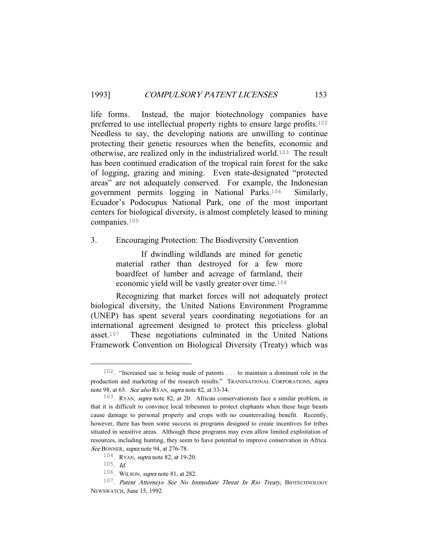life forms. Instead, the major biotechnology companies have preferred to use intellectual property rights to ensure large profits.<sup>102</sup> Needless to say, the developing nations are unwilling to continue protecting their genetic resources when the benefits, economic and otherwise, are realized only in the industrialized world.103 The result has been continued eradication of the tropical rain forest for the sake of logging, grazing and mining. Even state-designated "protected areas" are not adequately conserved. For example, the Indonesian government permits logging in National Parks.104 Similarly, Ecuador's Podocupus National Park, one of the most important centers for biological diversity, is almost completely leased to mining companies.<sup>105</sup>

3. Encouraging Protection: The Biodiversity Convention

 If dwindling wildlands are mined for genetic material rather than destroyed for a few more boardfeet of lumber and acreage of farmland, their economic yield will be vastly greater over time.<sup>106</sup>

 Recognizing that market forces will not adequately protect biological diversity, the United Nations Environment Programme (UNEP) has spent several years coordinating negotiations for an international agreement designed to protect this priceless global asset.107 These negotiations culminated in the United Nations Framework Convention on Biological Diversity (Treaty) which was

 <sup>102</sup>. "Increased use is being made of patents . . . to maintain a dominant role in the production and marketing of the research results." TRANSNATIONAL CORPORATIONS, supra note 98, at 65. See also RYAN, supra note 82, at 33-34.

<sup>103</sup>. RYAN, supra note 82, at 20. African conservationists face a similar problem, in that it is difficult to convince local tribesmen to protect elephants when these huge beasts cause damage to personal property and crops with no countervailing benefit. Recently, however, there has been some success in programs designed to create incentives for tribes situated in sensitive areas. Although these programs may even allow limited exploitation of resources, including hunting, they seem to have potential to improve conservation in Africa. See BONNER, supra note 94, at 276-78.

<sup>104</sup>. RYAN, supra note 82, at 19-20.

 $105$ . *Id.* 

<sup>106</sup>. WILSON, supra note 81, at 282.

<sup>&</sup>lt;sup>107</sup>. Patent Attorneys See No Immediate Threat In Rio Treaty, BIOTECHNOLOGY NEWSWATCH, June 15, 1992.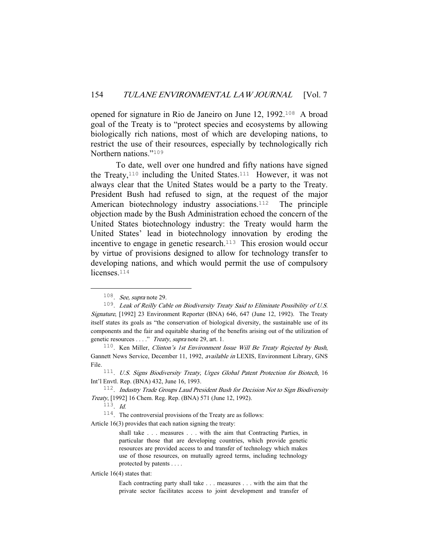opened for signature in Rio de Janeiro on June 12, 1992.108 A broad goal of the Treaty is to "protect species and ecosystems by allowing biologically rich nations, most of which are developing nations, to restrict the use of their resources, especially by technologically rich Northern nations."<sup>109</sup>

 To date, well over one hundred and fifty nations have signed the Treaty,110 including the United States.111 However, it was not always clear that the United States would be a party to the Treaty. President Bush had refused to sign, at the request of the major American biotechnology industry associations.<sup>112</sup> The principle objection made by the Bush Administration echoed the concern of the United States biotechnology industry: the Treaty would harm the United States' lead in biotechnology innovation by eroding the incentive to engage in genetic research.<sup>113</sup> This erosion would occur by virtue of provisions designed to allow for technology transfer to developing nations, and which would permit the use of compulsory licenses.<sup>114</sup>

114. The controversial provisions of the Treaty are as follows:

Article 16(3) provides that each nation signing the treaty:

shall take . . . measures . . . with the aim that Contracting Parties, in particular those that are developing countries, which provide genetic resources are provided access to and transfer of technology which makes use of those resources, on mutually agreed terms, including technology protected by patents . . . .

Article 16(4) states that:

Each contracting party shall take . . . measures . . . with the aim that the private sector facilitates access to joint development and transfer of

 $108$ . See, supra note 29.

 $109$ . Leak of Reilly Cable on Biodiversity Treaty Said to Eliminate Possibility of U.S. Signature, [1992] 23 Environment Reporter (BNA) 646, 647 (June 12, 1992). The Treaty itself states its goals as "the conservation of biological diversity, the sustainable use of its components and the fair and equitable sharing of the benefits arising out of the utilization of genetic resources . . . ." Treaty, supra note 29, art. 1.

<sup>&</sup>lt;sup>110</sup>. Ken Miller, *Clinton's 1st Environment Issue Will Be Treaty Rejected by Bush*, Gannett News Service, December 11, 1992, available in LEXIS, Environment Library, GNS File.

<sup>&</sup>lt;sup>111</sup>. U.S. Signs Biodiversity Treaty, Urges Global Patent Protection for Biotech, 16 Int'l Envtl. Rep. (BNA) 432, June 16, 1993.

<sup>&</sup>lt;sup>112</sup>. Industry Trade Groups Laud President Bush for Decision Not to Sign Biodiversity Treaty, [1992] 16 Chem. Reg. Rep. (BNA) 571 (June 12, 1992).

<sup>113</sup>. Id.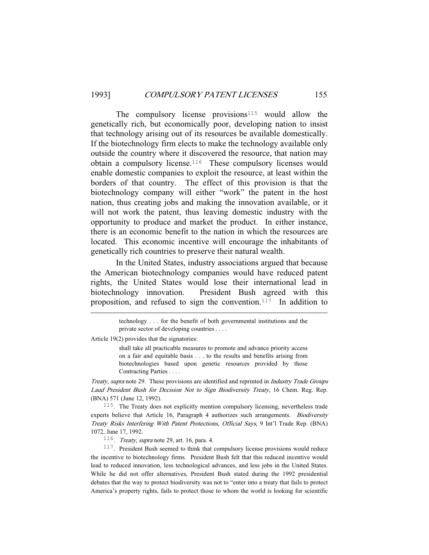The compulsory license provisions $115$  would allow the genetically rich, but economically poor, developing nation to insist that technology arising out of its resources be available domestically. If the biotechnology firm elects to make the technology available only outside the country where it discovered the resource, that nation may obtain a compulsory license.116 These compulsory licenses would enable domestic companies to exploit the resource, at least within the borders of that country. The effect of this provision is that the biotechnology company will either "work" the patent in the host nation, thus creating jobs and making the innovation available, or it will not work the patent, thus leaving domestic industry with the opportunity to produce and market the product. In either instance, there is an economic benefit to the nation in which the resources are located. This economic incentive will encourage the inhabitants of genetically rich countries to preserve their natural wealth.

 In the United States, industry associations argued that because the American biotechnology companies would have reduced patent rights, the United States would lose their international lead in biotechnology innovation. President Bush agreed with this proposition, and refused to sign the convention.117 In addition to

Article 19(2) provides that the signatories:

i<br>Li

shall take all practicable measures to promote and advance priority access on a fair and equitable basis . . . to the results and benefits arising from biotechnologies based upon genetic resources provided by those Contracting Parties . . . .

Treaty, supra note 29. These provisions are identified and reprinted in Industry Trade Groups Laud President Bush for Decision Not to Sign Biodiversity Treaty, 16 Chem. Reg. Rep. (BNA) 571 (June 12, 1992).

115. The Treaty does not explicitly mention compulsory licensing, nevertheless trade experts believe that Article 16, Paragraph 4 authorizes such arrangements. Biodiversity Treaty Risks Interfering With Patent Protections, Official Says, 9 Int'l Trade Rep. (BNA) 1072, June 17, 1992.

 $116$ . *Treaty, supra* note 29, art. 16, para. 4.

117. President Bush seemed to think that compulsory license provisions would reduce the incentive to biotechnology firms. President Bush felt that this reduced incentive would lead to reduced innovation, less technological advances, and less jobs in the United States. While he did not offer alternatives, President Bush stated during the 1992 presidential debates that the way to protect biodiversity was not to "enter into a treaty that fails to protect America's property rights, fails to protect those to whom the world is looking for scientific

technology . . . for the benefit of both governmental institutions and the private sector of developing countries . . . .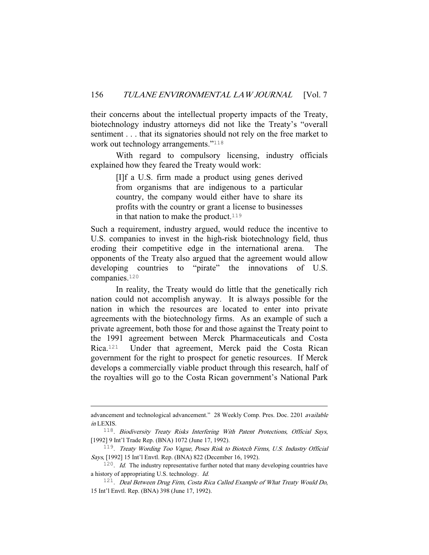their concerns about the intellectual property impacts of the Treaty, biotechnology industry attorneys did not like the Treaty's "overall sentiment . . . that its signatories should not rely on the free market to work out technology arrangements."<sup>118</sup>

 With regard to compulsory licensing, industry officials explained how they feared the Treaty would work:

> [I]f a U.S. firm made a product using genes derived from organisms that are indigenous to a particular country, the company would either have to share its profits with the country or grant a license to businesses in that nation to make the product.<sup>119</sup>

Such a requirement, industry argued, would reduce the incentive to U.S. companies to invest in the high-risk biotechnology field, thus eroding their competitive edge in the international arena. The opponents of the Treaty also argued that the agreement would allow developing countries to "pirate" the innovations of U.S. companies.<sup>120</sup>

 In reality, the Treaty would do little that the genetically rich nation could not accomplish anyway. It is always possible for the nation in which the resources are located to enter into private agreements with the biotechnology firms. As an example of such a private agreement, both those for and those against the Treaty point to the 1991 agreement between Merck Pharmaceuticals and Costa Rica.121 Under that agreement, Merck paid the Costa Rican government for the right to prospect for genetic resources. If Merck develops a commercially viable product through this research, half of the royalties will go to the Costa Rican government's National Park

i<br>Li

advancement and technological advancement." 28 Weekly Comp. Pres. Doc. 2201 available in LEXIS.

<sup>118</sup>. Biodiversity Treaty Risks Interfering With Patent Protections, Official Says, [1992] 9 Int'l Trade Rep. (BNA) 1072 (June 17, 1992).

<sup>119</sup>. Treaty Wording Too Vague, Poses Risk to Biotech Firms, U.S. Industry Official Says, [1992] 15 Int'l Envtl. Rep. (BNA) 822 (December 16, 1992).

 $120$ . *Id.* The industry representative further noted that many developing countries have a history of appropriating U.S. technology. Id.

<sup>&</sup>lt;sup>121</sup>. Deal Between Drug Firm, Costa Rica Called Example of What Treaty Would Do, 15 Int'l Envtl. Rep. (BNA) 398 (June 17, 1992).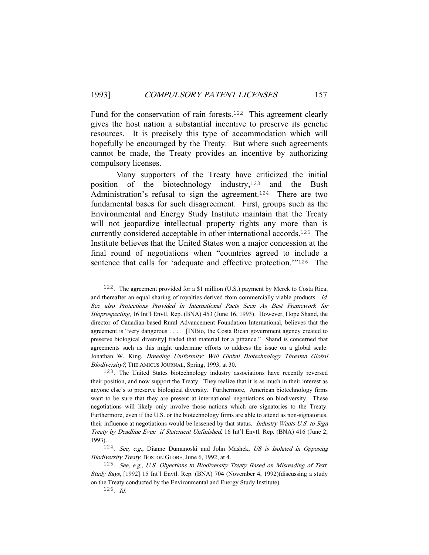Fund for the conservation of rain forests.<sup>122</sup> This agreement clearly gives the host nation a substantial incentive to preserve its genetic resources. It is precisely this type of accommodation which will hopefully be encouraged by the Treaty. But where such agreements cannot be made, the Treaty provides an incentive by authorizing compulsory licenses.

 Many supporters of the Treaty have criticized the initial position of the biotechnology industry,<sup>123</sup> and the Bush Administration's refusal to sign the agreement.<sup>124</sup> There are two fundamental bases for such disagreement. First, groups such as the Environmental and Energy Study Institute maintain that the Treaty will not jeopardize intellectual property rights any more than is currently considered acceptable in other international accords.125 The Institute believes that the United States won a major concession at the final round of negotiations when "countries agreed to include a sentence that calls for 'adequate and effective protection.'"<sup>126</sup> The

 <sup>122</sup>. The agreement provided for a \$1 million (U.S.) payment by Merck to Costa Rica, and thereafter an equal sharing of royalties derived from commercially viable products. Id. See also Protections Provided in International Pacts Seen As Best Framework for Bioprospecting, 16 Int'l Envtl. Rep. (BNA) 453 (June 16, 1993). However, Hope Shand, the director of Canadian-based Rural Advancement Foundation International, believes that the agreement is "very dangerous . . . . [INBio, the Costa Rican government agency created to preserve biological diversity] traded that material for a pittance." Shand is concerned that agreements such as this might undermine efforts to address the issue on a global scale. Jonathan W. King, Breeding Uniformity: Will Global Biotechnology Threaten Global Biodiversity?, THE AMICUS JOURNAL, Spring, 1993, at 30.

<sup>123</sup>. The United States biotechnology industry associations have recently reversed their position, and now support the Treaty. They realize that it is as much in their interest as anyone else's to preserve biological diversity. Furthermore, American biotechnology firms want to be sure that they are present at international negotiations on biodiversity. These negotiations will likely only involve those nations which are signatories to the Treaty. Furthermore, even if the U.S. or the biotechnology firms are able to attend as non-signatories, their influence at negotiations would be lessened by that status. *Industry Wants U.S. to Sign* Treaty by Deadline Even if Statement Unfinished, 16 Int'l Envtl. Rep. (BNA) 416 (June 2, 1993).

<sup>&</sup>lt;sup>124</sup>. See, e.g., Dianne Dumanoski and John Mashek, US is Isolated in Opposing Biodiversity Treaty, BOSTON GLOBE, June 6, 1992, at 4.

<sup>125</sup>. See, e.g., U.S. Objections to Biodiversity Treaty Based on Misreading of Text, Study Says, [1992] 15 Int'l Envtl. Rep. (BNA) 704 (November 4, 1992)(discussing a study on the Treaty conducted by the Environmental and Energy Study Institute).

 $126$ . *Id.*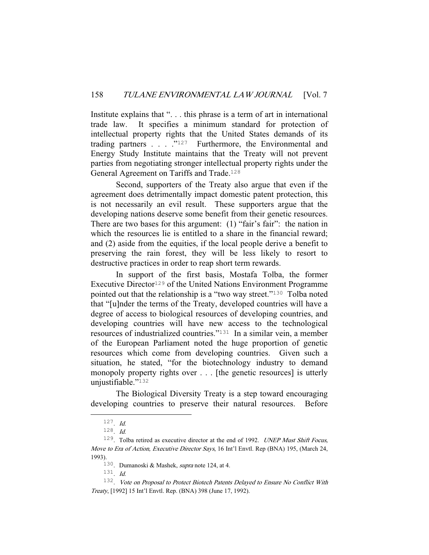Institute explains that "... this phrase is a term of art in international trade law. It specifies a minimum standard for protection of intellectual property rights that the United States demands of its trading partners . . . . "<sup>127</sup> Furthermore, the Environmental and Energy Study Institute maintains that the Treaty will not prevent parties from negotiating stronger intellectual property rights under the General Agreement on Tariffs and Trade.<sup>128</sup>

 Second, supporters of the Treaty also argue that even if the agreement does detrimentally impact domestic patent protection, this is not necessarily an evil result. These supporters argue that the developing nations deserve some benefit from their genetic resources. There are two bases for this argument: (1) "fair's fair": the nation in which the resources lie is entitled to a share in the financial reward; and (2) aside from the equities, if the local people derive a benefit to preserving the rain forest, they will be less likely to resort to destructive practices in order to reap short term rewards.

 In support of the first basis, Mostafa Tolba, the former Executive Director<sup>129</sup> of the United Nations Environment Programme pointed out that the relationship is a "two way street."130 Tolba noted that "[u]nder the terms of the Treaty, developed countries will have a degree of access to biological resources of developing countries, and developing countries will have new access to the technological resources of industrialized countries."131 In a similar vein, a member of the European Parliament noted the huge proportion of genetic resources which come from developing countries. Given such a situation, he stated, "for the biotechnology industry to demand monopoly property rights over . . . [the genetic resources] is utterly unjustifiable."<sup>132</sup>

 The Biological Diversity Treaty is a step toward encouraging developing countries to preserve their natural resources. Before

 $127$ . *Id.* 

<sup>128</sup>. Id.

<sup>129</sup>. Tolba retired as executive director at the end of 1992. UNEP Must Shift Focus, Move to Era of Action, Executive Director Says, 16 Int'l Envtl. Rep (BNA) 195, (March 24, 1993).

<sup>130</sup>. Dumanoski & Mashek, supra note 124, at 4.

 $131.$  *Id.* 

<sup>132</sup>. Vote on Proposal to Protect Biotech Patents Delayed to Ensure No Conflict With Treaty, [1992] 15 Int'l Envtl. Rep. (BNA) 398 (June 17, 1992).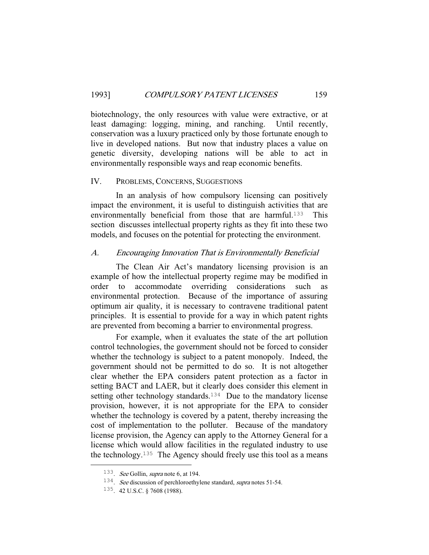biotechnology, the only resources with value were extractive, or at least damaging: logging, mining, and ranching. Until recently, conservation was a luxury practiced only by those fortunate enough to live in developed nations. But now that industry places a value on genetic diversity, developing nations will be able to act in environmentally responsible ways and reap economic benefits.

## IV. PROBLEMS, CONCERNS, SUGGESTIONS

 In an analysis of how compulsory licensing can positively impact the environment, it is useful to distinguish activities that are environmentally beneficial from those that are harmful.<sup>133</sup> This section discusses intellectual property rights as they fit into these two models, and focuses on the potential for protecting the environment.

#### A. Encouraging Innovation That is Environmentally Beneficial

 The Clean Air Act's mandatory licensing provision is an example of how the intellectual property regime may be modified in order to accommodate overriding considerations such as environmental protection. Because of the importance of assuring optimum air quality, it is necessary to contravene traditional patent principles. It is essential to provide for a way in which patent rights are prevented from becoming a barrier to environmental progress.

 For example, when it evaluates the state of the art pollution control technologies, the government should not be forced to consider whether the technology is subject to a patent monopoly. Indeed, the government should not be permitted to do so. It is not altogether clear whether the EPA considers patent protection as a factor in setting BACT and LAER, but it clearly does consider this element in setting other technology standards.<sup>134</sup> Due to the mandatory license provision, however, it is not appropriate for the EPA to consider whether the technology is covered by a patent, thereby increasing the cost of implementation to the polluter. Because of the mandatory license provision, the Agency can apply to the Attorney General for a license which would allow facilities in the regulated industry to use the technology.<sup>135</sup> The Agency should freely use this tool as a means

 <sup>133</sup>. See Gollin, supra note 6, at 194.

<sup>&</sup>lt;sup>134</sup>. See discussion of perchloroethylene standard, supra notes 51-54.

<sup>135</sup>. 42 U.S.C. § 7608 (1988).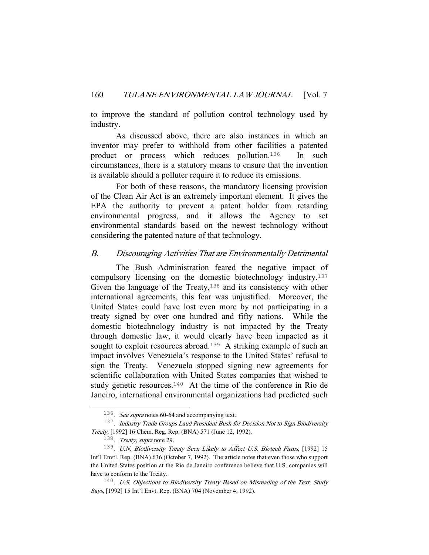to improve the standard of pollution control technology used by industry.

 As discussed above, there are also instances in which an inventor may prefer to withhold from other facilities a patented product or process which reduces pollution.136 In such circumstances, there is a statutory means to ensure that the invention is available should a polluter require it to reduce its emissions.

 For both of these reasons, the mandatory licensing provision of the Clean Air Act is an extremely important element. It gives the EPA the authority to prevent a patent holder from retarding environmental progress, and it allows the Agency to set environmental standards based on the newest technology without considering the patented nature of that technology.

## B. Discouraging Activities That are Environmentally Detrimental

 The Bush Administration feared the negative impact of compulsory licensing on the domestic biotechnology industry.<sup>137</sup> Given the language of the Treaty, $138$  and its consistency with other international agreements, this fear was unjustified. Moreover, the United States could have lost even more by not participating in a treaty signed by over one hundred and fifty nations. While the domestic biotechnology industry is not impacted by the Treaty through domestic law, it would clearly have been impacted as it sought to exploit resources abroad.<sup>139</sup> A striking example of such an impact involves Venezuela's response to the United States' refusal to sign the Treaty. Venezuela stopped signing new agreements for scientific collaboration with United States companies that wished to study genetic resources.140 At the time of the conference in Rio de Janeiro, international environmental organizations had predicted such

<sup>&</sup>lt;sup>136</sup>. See supra notes 60-64 and accompanying text.

<sup>&</sup>lt;sup>137</sup>. Industry Trade Groups Laud President Bush for Decision Not to Sign Biodiversity Treaty, [1992] 16 Chem. Reg. Rep. (BNA) 571 (June 12, 1992).

<sup>138</sup>. Treaty, supra note 29.

<sup>&</sup>lt;sup>139</sup>. U.N. Biodiversity Treaty Seen Likely to Affect U.S. Biotech Firms, [1992] 15 Int'l Envtl. Rep. (BNA) 636 (October 7, 1992). The article notes that even those who support the United States position at the Rio de Janeiro conference believe that U.S. companies will have to conform to the Treaty.

<sup>&</sup>lt;sup>140</sup>. U.S. Objections to Biodiversity Treaty Based on Misreading of the Text, Study Says, [1992] 15 Int'l Envt. Rep. (BNA) 704 (November 4, 1992).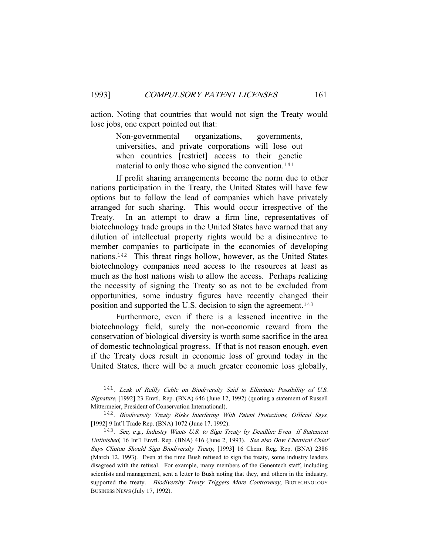action. Noting that countries that would not sign the Treaty would lose jobs, one expert pointed out that:

> Non-governmental organizations, governments, universities, and private corporations will lose out when countries [restrict] access to their genetic material to only those who signed the convention.<sup>141</sup>

 If profit sharing arrangements become the norm due to other nations participation in the Treaty, the United States will have few options but to follow the lead of companies which have privately arranged for such sharing. This would occur irrespective of the Treaty. In an attempt to draw a firm line, representatives of biotechnology trade groups in the United States have warned that any dilution of intellectual property rights would be a disincentive to member companies to participate in the economies of developing nations.142 This threat rings hollow, however, as the United States biotechnology companies need access to the resources at least as much as the host nations wish to allow the access. Perhaps realizing the necessity of signing the Treaty so as not to be excluded from opportunities, some industry figures have recently changed their position and supported the U.S. decision to sign the agreement.<sup>143</sup>

 Furthermore, even if there is a lessened incentive in the biotechnology field, surely the non-economic reward from the conservation of biological diversity is worth some sacrifice in the area of domestic technological progress. If that is not reason enough, even if the Treaty does result in economic loss of ground today in the United States, there will be a much greater economic loss globally,

<sup>&</sup>lt;sup>141</sup>. Leak of Reilly Cable on Biodiversity Said to Eliminate Possibility of U.S. Signature, [1992] 23 Envtl. Rep. (BNA) 646 (June 12, 1992) (quoting a statement of Russell Mittermeier, President of Conservation International).

<sup>&</sup>lt;sup>142</sup>. Biodiversity Treaty Risks Interfering With Patent Protections, Official Says, [1992] 9 Int'l Trade Rep. (BNA) 1072 (June 17, 1992).

<sup>&</sup>lt;sup>143</sup>. See, e.g., Industry Wants U.S. to Sign Treaty by Deadline Even if Statement Unfinished, 16 Int'l Envtl. Rep. (BNA) 416 (June 2, 1993). See also Dow Chemical Chief Says Clinton Should Sign Biodiversity Treaty, [1993] 16 Chem. Reg. Rep. (BNA) 2386 (March 12, 1993). Even at the time Bush refused to sign the treaty, some industry leaders disagreed with the refusal. For example, many members of the Genentech staff, including scientists and management, sent a letter to Bush noting that they, and others in the industry, supported the treaty. Biodiversity Treaty Triggers More Controversy, BIOTECHNOLOGY BUSINESS NEWS (July 17, 1992).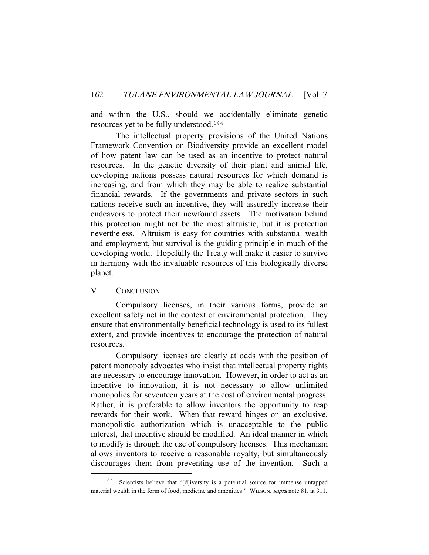and within the U.S., should we accidentally eliminate genetic resources yet to be fully understood.<sup>144</sup>

 The intellectual property provisions of the United Nations Framework Convention on Biodiversity provide an excellent model of how patent law can be used as an incentive to protect natural resources. In the genetic diversity of their plant and animal life, developing nations possess natural resources for which demand is increasing, and from which they may be able to realize substantial financial rewards. If the governments and private sectors in such nations receive such an incentive, they will assuredly increase their endeavors to protect their newfound assets. The motivation behind this protection might not be the most altruistic, but it is protection nevertheless. Altruism is easy for countries with substantial wealth and employment, but survival is the guiding principle in much of the developing world. Hopefully the Treaty will make it easier to survive in harmony with the invaluable resources of this biologically diverse planet.

## V. CONCLUSION

 Compulsory licenses, in their various forms, provide an excellent safety net in the context of environmental protection. They ensure that environmentally beneficial technology is used to its fullest extent, and provide incentives to encourage the protection of natural resources.

 Compulsory licenses are clearly at odds with the position of patent monopoly advocates who insist that intellectual property rights are necessary to encourage innovation. However, in order to act as an incentive to innovation, it is not necessary to allow unlimited monopolies for seventeen years at the cost of environmental progress. Rather, it is preferable to allow inventors the opportunity to reap rewards for their work. When that reward hinges on an exclusive, monopolistic authorization which is unacceptable to the public interest, that incentive should be modified. An ideal manner in which to modify is through the use of compulsory licenses. This mechanism allows inventors to receive a reasonable royalty, but simultaneously discourages them from preventing use of the invention. Such a

<sup>&</sup>lt;sup>144</sup>. Scientists believe that "[d]iversity is a potential source for immense untapped material wealth in the form of food, medicine and amenities." WILSON, *supra* note 81, at 311.